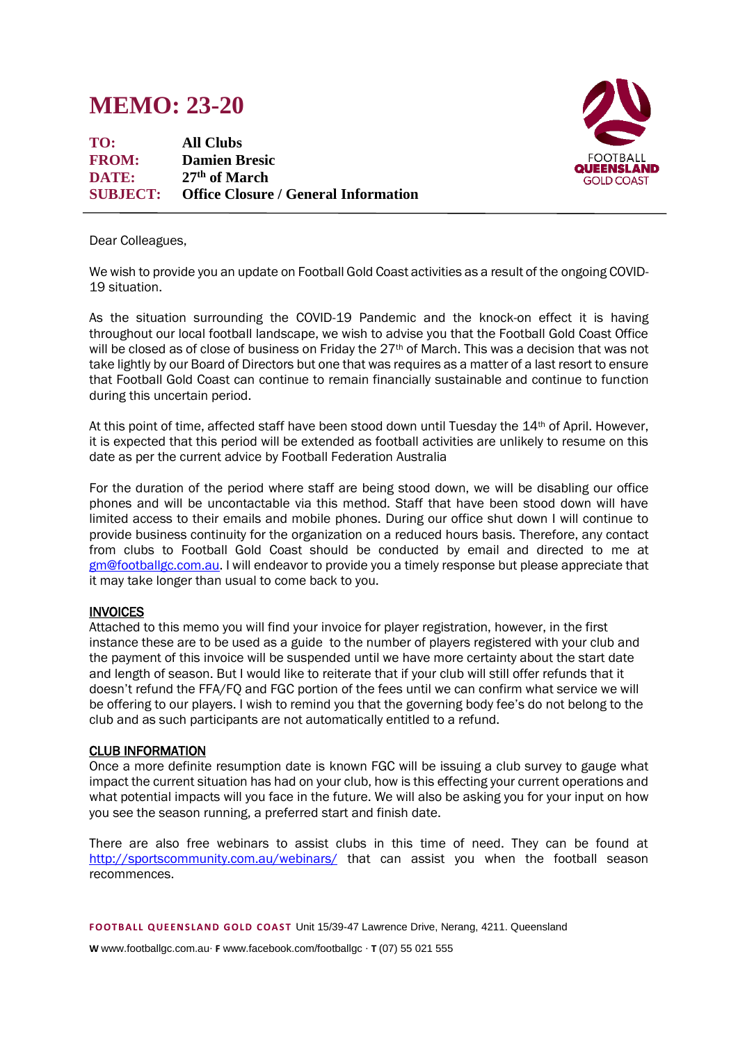## **MEMO: 23-20**

**TO: All Clubs FROM: Damien Bresic DATE: 27 th of March SUBJECT: Office Closure / General Information**



Dear Colleagues,

We wish to provide you an update on Football Gold Coast activities as a result of the ongoing COVID-19 situation.

As the situation surrounding the COVID-19 Pandemic and the knock-on effect it is having throughout our local football landscape, we wish to advise you that the Football Gold Coast Office will be closed as of close of business on Friday the 27<sup>th</sup> of March. This was a decision that was not take lightly by our Board of Directors but one that was requires as a matter of a last resort to ensure that Football Gold Coast can continue to remain financially sustainable and continue to function during this uncertain period.

At this point of time, affected staff have been stood down until Tuesday the 14th of April. However, it is expected that this period will be extended as football activities are unlikely to resume on this date as per the current advice by Football Federation Australia

For the duration of the period where staff are being stood down, we will be disabling our office phones and will be uncontactable via this method. Staff that have been stood down will have limited access to their emails and mobile phones. During our office shut down I will continue to provide business continuity for the organization on a reduced hours basis. Therefore, any contact from clubs to Football Gold Coast should be conducted by email and directed to me at [gm@footballgc.com.au.](mailto:gm@footballgc.com.au) I will endeavor to provide you a timely response but please appreciate that it may take longer than usual to come back to you.

## **INVOICES**

Attached to this memo you will find your invoice for player registration, however, in the first instance these are to be used as a guide to the number of players registered with your club and the payment of this invoice will be suspended until we have more certainty about the start date and length of season. But I would like to reiterate that if your club will still offer refunds that it doesn't refund the FFA/FQ and FGC portion of the fees until we can confirm what service we will be offering to our players. I wish to remind you that the governing body fee's do not belong to the club and as such participants are not automatically entitled to a refund.

## CLUB INFORMATION

Once a more definite resumption date is known FGC will be issuing a club survey to gauge what impact the current situation has had on your club, how is this effecting your current operations and what potential impacts will you face in the future. We will also be asking you for your input on how you see the season running, a preferred start and finish date.

There are also free webinars to assist clubs in this time of need. They can be found at <http://sportscommunity.com.au/webinars/> that can assist you when the football season recommences.

**F OOTB ALL Q UE EN S LAN D GOLD C OAS T** Unit 15/39-47 Lawrence Drive, Nerang, 4211. Queensland

**W** www.footballgc.com.au. **F** www.facebook.com/footballgc . **T** (07) 55 021 555